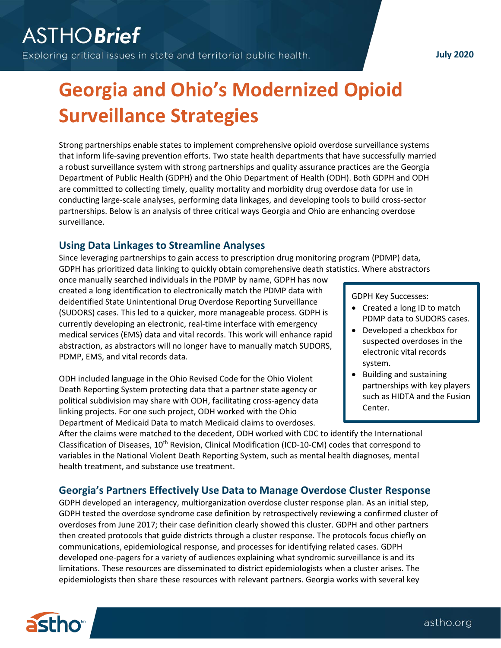### **July 2020**

# **Georgia and Ohio's Modernized Opioid Surveillance Strategies**

Strong partnerships enable states to implement comprehensive opioid overdose surveillance systems that inform life-saving prevention efforts. Two state health departments that have successfully married a robust surveillance system with strong partnerships and quality assurance practices are the Georgia Department of Public Health (GDPH) and the Ohio Department of Health (ODH). Both GDPH and ODH are committed to collecting timely, quality mortality and morbidity drug overdose data for use in conducting large-scale analyses, performing data linkages, and developing tools to build cross-sector partnerships. Below is an analysis of three critical ways Georgia and Ohio are enhancing overdose surveillance.

## **Using Data Linkages to Streamline Analyses**

Since leveraging partnerships to gain access to prescription drug monitoring program (PDMP) data, GDPH has prioritized data linking to quickly obtain comprehensive death statistics. Where abstractors

once manually searched individuals in the PDMP by name, GDPH has now created a long identification to electronically match the PDMP data with deidentified State Unintentional Drug Overdose Reporting Surveillance (SUDORS) cases. This led to a quicker, more manageable process. GDPH is currently developing an electronic, real-time interface with emergency medical services (EMS) data and vital records. This work will enhance rapid abstraction, as abstractors will no longer have to manually match SUDORS, PDMP, EMS, and vital records data.

ODH included language in the Ohio Revised Code for the Ohio Violent Death Reporting System protecting data that a partner state agency or political subdivision may share with ODH, facilitating cross-agency data linking projects. For one such project, ODH worked with the Ohio Department of Medicaid Data to match Medicaid claims to overdoses.

GDPH Key Successes:

- Created a long ID to match PDMP data to SUDORS cases.
- Developed a checkbox for suspected overdoses in the electronic vital records system.
- Building and sustaining partnerships with key players such as HIDTA and the Fusion Center.

• Created flags in their internal

After the claims were matched to the decedent, ODH worked with CDC to identify the International Classification of Diseases, 10<sup>th</sup> Revision, Clinical Modification (ICD-10-CM) codes that correspond to variables in the National Violent Death Reporting System, such as mental health diagnoses, mental health treatment, and substance use treatment.

## **Georgia's Partners Effectively Use Data to Manage Overdose Cluster Response**

GDPH developed an interagency, multiorganization overdose cluster response plan. As an initial step, GDPH tested the overdose syndrome case definition by retrospectively reviewing a confirmed cluster of overdoses from June 2017; their case definition clearly showed this cluster. GDPH and other partners then created protocols that guide districts through a cluster response. The protocols focus chiefly on communications, epidemiological response, and processes for identifying related cases. GDPH developed one-pagers for a variety of audiences explaining what syndromic surveillance is and its limitations. These resources are disseminated to district epidemiologists when a cluster arises. The epidemiologists then share these resources with relevant partners. Georgia works with several key